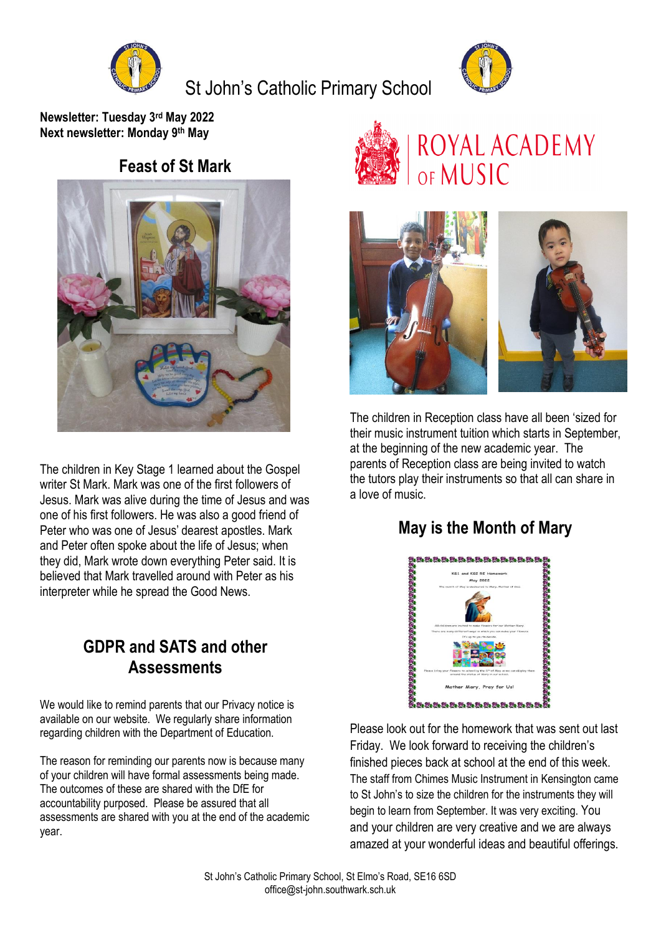

St John's Catholic Primary School



**Newsletter: Tuesday 3 rd May 2022 Next newsletter: Monday 9 th May**

### **Feast of St Mark**



The children in Key Stage 1 learned about the Gospel writer St Mark. Mark was one of the first followers of Jesus. Mark was alive during the time of Jesus and was one of his first followers. He was also a good friend of Peter who was one of Jesus' dearest apostles. Mark and Peter often spoke about the life of Jesus; when they did, Mark wrote down everything Peter said. It is believed that Mark travelled around with Peter as his interpreter while he spread the Good News.

## **GDPR and SATS and other Assessments**

We would like to remind parents that our Privacy notice is available on our website. We regularly share information regarding children with the Department of Education.

The reason for reminding our parents now is because many of your children will have formal assessments being made. The outcomes of these are shared with the DfE for accountability purposed. Please be assured that all assessments are shared with you at the end of the academic year.





The children in Reception class have all been 'sized for their music instrument tuition which starts in September, at the beginning of the new academic year. The parents of Reception class are being invited to watch the tutors play their instruments so that all can share in a love of music.

## **May is the Month of Mary**



Please look out for the homework that was sent out last Friday. We look forward to receiving the children's finished pieces back at school at the end of this week. The staff from Chimes Music Instrument in Kensington came to St John's to size the children for the instruments they will begin to learn from September. It was very exciting. You and your children are very creative and we are always amazed at your wonderful ideas and beautiful offerings.